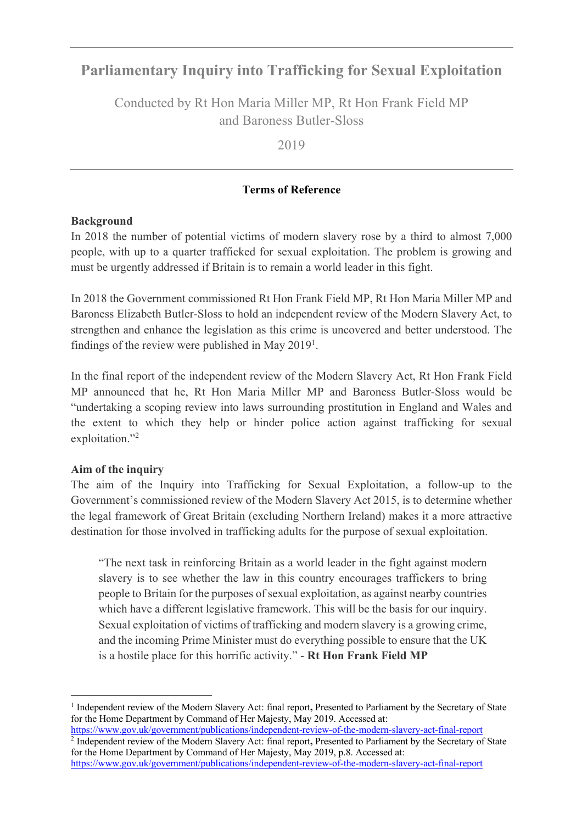# **Parliamentary Inquiry into Trafficking for Sexual Exploitation**

Conducted by Rt Hon Maria Miller MP, Rt Hon Frank Field MP and Baroness Butler-Sloss

2019

## **Terms of Reference**

#### **Background**

In 2018 the number of potential victims of modern slavery rose by a third to almost 7,000 people, with up to a quarter trafficked for sexual exploitation. The problem is growing and must be urgently addressed if Britain is to remain a world leader in this fight.

In 2018 the Government commissioned Rt Hon Frank Field MP, Rt Hon Maria Miller MP and Baroness Elizabeth Butler-Sloss to hold an independent review of the Modern Slavery Act, to strengthen and enhance the legislation as this crime is uncovered and better understood. The findings of the review were published in May 2019<sup>1</sup>.

In the final report of the independent review of the Modern Slavery Act, Rt Hon Frank Field MP announced that he, Rt Hon Maria Miller MP and Baroness Butler-Sloss would be "undertaking a scoping review into laws surrounding prostitution in England and Wales and the extent to which they help or hinder police action against trafficking for sexual exploitation."<sup>2</sup>

# **Aim of the inquiry**

The aim of the Inquiry into Trafficking for Sexual Exploitation, a follow-up to the Government's commissioned review of the Modern Slavery Act 2015, is to determine whether the legal framework of Great Britain (excluding Northern Ireland) makes it a more attractive destination for those involved in trafficking adults for the purpose of sexual exploitation.

"The next task in reinforcing Britain as a world leader in the fight against modern slavery is to see whether the law in this country encourages traffickers to bring people to Britain for the purposes of sexual exploitation, as against nearby countries which have a different legislative framework. This will be the basis for our inquiry. Sexual exploitation of victims of trafficking and modern slavery is a growing crime, and the incoming Prime Minister must do everything possible to ensure that the UK is a hostile place for this horrific activity." - **Rt Hon Frank Field MP**

https://www.gov.uk/government/publications/independent-review-of-the-modern-slavery-act-final-report <sup>2</sup> Independent review of the Modern Slavery Act: final report**,** Presented to Parliament by the Secretary of State for the Home Department by Command of Her Majesty, May 2019, p.8. Accessed at:

https://www.gov.uk/government/publications/independent-review-of-the-modern-slavery-act-final-report

<sup>1</sup> Independent review of the Modern Slavery Act: final report**,** Presented to Parliament by the Secretary of State for the Home Department by Command of Her Majesty, May 2019. Accessed at: